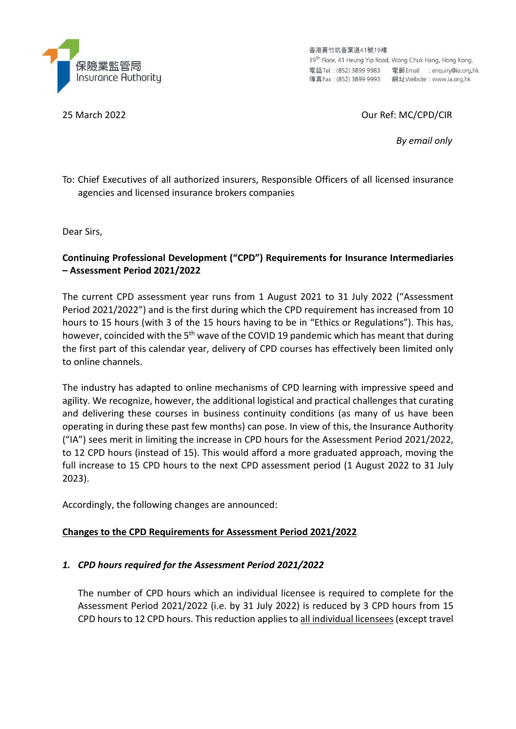

香港黃竹坑香葉道41號19樓 19<sup>th</sup> Floor, 41 Heung Yip Road, Wong Chuk Hang, Hong Kong. 電話Tel: (852) 3899 9983 電郵 Email : enquiry@ia.org.hk 

## 25 March 2022 Our Ref: MC/CPD/CIR

*By email only*

To: Chief Executives of all authorized insurers, Responsible Officers of all licensed insurance agencies and licensed insurance brokers companies

Dear Sirs,

## **Continuing Professional Development ("CPD") Requirements for Insurance Intermediaries – Assessment Period 2021/2022**

The current CPD assessment year runs from 1 August 2021 to 31 July 2022 ("Assessment Period 2021/2022") and is the first during which the CPD requirement has increased from 10 hours to 15 hours (with 3 of the 15 hours having to be in "Ethics or Regulations"). This has, however, coincided with the 5<sup>th</sup> wave of the COVID 19 pandemic which has meant that during the first part of this calendar year, delivery of CPD courses has effectively been limited only to online channels.

The industry has adapted to online mechanisms of CPD learning with impressive speed and agility. We recognize, however, the additional logistical and practical challenges that curating and delivering these courses in business continuity conditions (as many of us have been operating in during these past few months) can pose. In view of this, the Insurance Authority ("IA") sees merit in limiting the increase in CPD hours for the Assessment Period 2021/2022, to 12 CPD hours (instead of 15). This would afford a more graduated approach, moving the full increase to 15 CPD hours to the next CPD assessment period (1 August 2022 to 31 July 2023).

Accordingly, the following changes are announced:

#### **Changes to the CPD Requirements for Assessment Period 2021/2022**

#### *1. CPD hours required for the Assessment Period 2021/2022*

The number of CPD hours which an individual licensee is required to complete for the Assessment Period 2021/2022 (i.e. by 31 July 2022) is reduced by 3 CPD hours from 15 CPD hours to 12 CPD hours. This reduction appliesto all individual licensees(except travel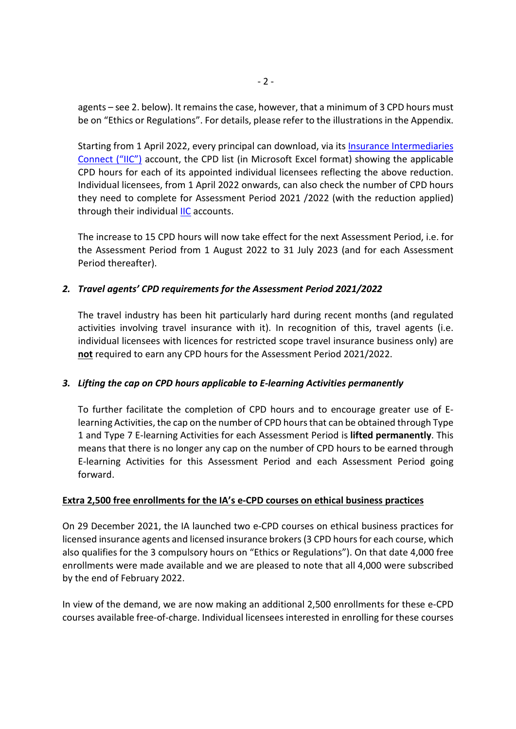agents – see 2. below). It remains the case, however, that a minimum of 3 CPD hours must be on "Ethics or Regulations". For details, please refer to the illustrations in the Appendix.

Starting from 1 April 2022, every principal can download, via its **Insurance [Intermediaries](https://iic.ia.org.hk/en/login.html)** [Connect](https://iic.ia.org.hk/en/login.html) ("IIC") account, the CPD list (in Microsoft Excel format) showing the applicable CPD hours for each of its appointed individual licensees reflecting the above reduction. Individual licensees, from 1 April 2022 onwards, can also check the number of CPD hours they need to complete for Assessment Period 2021 /2022 (with the reduction applied) through their individual [IIC](https://iic.ia.org.hk/en/login.html) accounts.

The increase to 15 CPD hours will now take effect for the next Assessment Period, i.e. for the Assessment Period from 1 August 2022 to 31 July 2023 (and for each Assessment Period thereafter).

# *2. Travel agents' CPD requirements for the Assessment Period 2021/2022*

The travel industry has been hit particularly hard during recent months (and regulated activities involving travel insurance with it). In recognition of this, travel agents (i.e. individual licensees with licences for restricted scope travel insurance business only) are **not** required to earn any CPD hours for the Assessment Period 2021/2022.

#### *3. Lifting the cap on CPD hours applicable to E-learning Activities permanently*

To further facilitate the completion of CPD hours and to encourage greater use of Elearning Activities, the cap on the number of CPD hoursthat can be obtained through Type 1 and Type 7 E-learning Activities for each Assessment Period is **lifted permanently**. This means that there is no longer any cap on the number of CPD hours to be earned through E-learning Activities for this Assessment Period and each Assessment Period going forward.

#### **Extra 2,500 free enrollments for the IA's e-CPD courses on ethical business practices**

On 29 December 2021, the IA launched two e-CPD courses on ethical business practices for licensed insurance agents and licensed insurance brokers(3 CPD hoursfor each course, which also qualifies for the 3 compulsory hours on "Ethics or Regulations"). On that date 4,000 free enrollments were made available and we are pleased to note that all 4,000 were subscribed by the end of February 2022.

In view of the demand, we are now making an additional 2,500 enrollments for these e-CPD courses available free-of-charge. Individual licensees interested in enrolling for these courses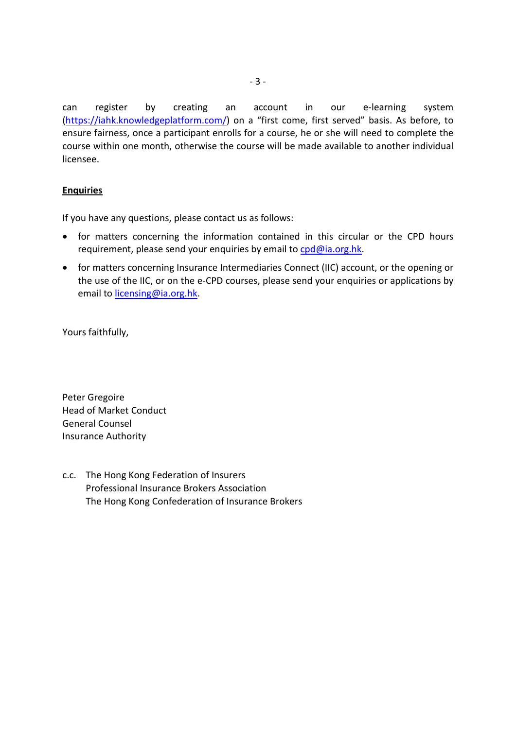can register by creating an account in our e-learning system [\(https://iahk.knowledgeplatform.com/\)](https://iahk.knowledgeplatform.com/) on a "first come, first served" basis. As before, to ensure fairness, once a participant enrolls for a course, he or she will need to complete the course within one month, otherwise the course will be made available to another individual licensee.

#### **Enquiries**

If you have any questions, please contact us as follows:

- for matters concerning the information contained in this circular or the CPD hours requirement, please send your enquiries by email t[o cpd@ia.org.hk.](mailto:cpd@ia.org.hk)
- for matters concerning Insurance Intermediaries Connect (IIC) account, or the opening or the use of the IIC, or on the e-CPD courses, please send your enquiries or applications by email to [licensing@ia.org.hk.](mailto:licensing@ia.org.hk)

Yours faithfully,

Peter Gregoire Head of Market Conduct General Counsel Insurance Authority

c.c. The Hong Kong Federation of Insurers Professional Insurance Brokers Association The Hong Kong Confederation of Insurance Brokers